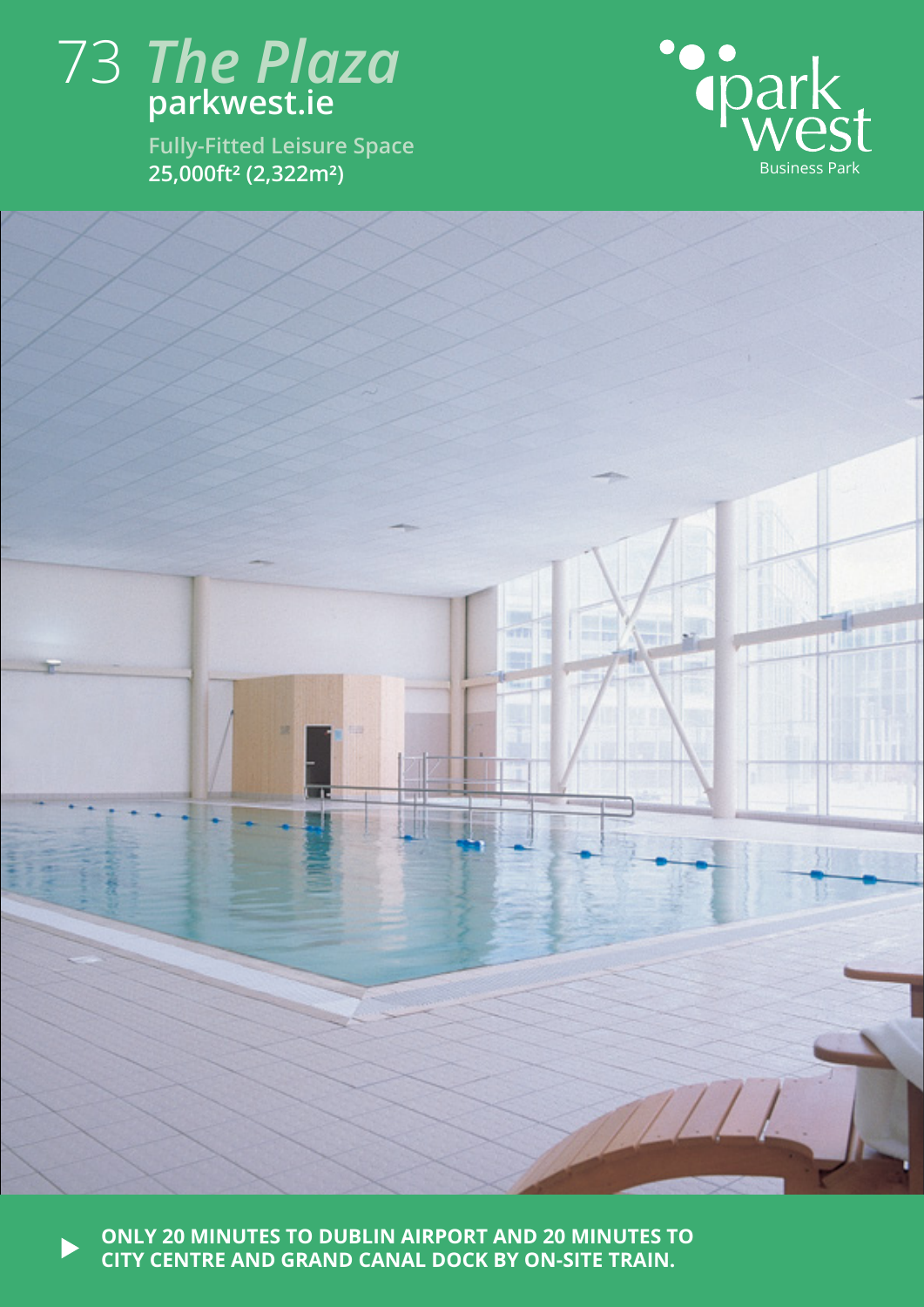## 73 *The Plaza* **parkwest.ie**

**Fully-Fitted Leisure Space**





**ONLY 20 MINUTES TO DUBLIN AIRPORT AND 20 MINUTES TO CITY CENTRE AND GRAND CANAL DOCK BY ON-SITE TRAIN.**